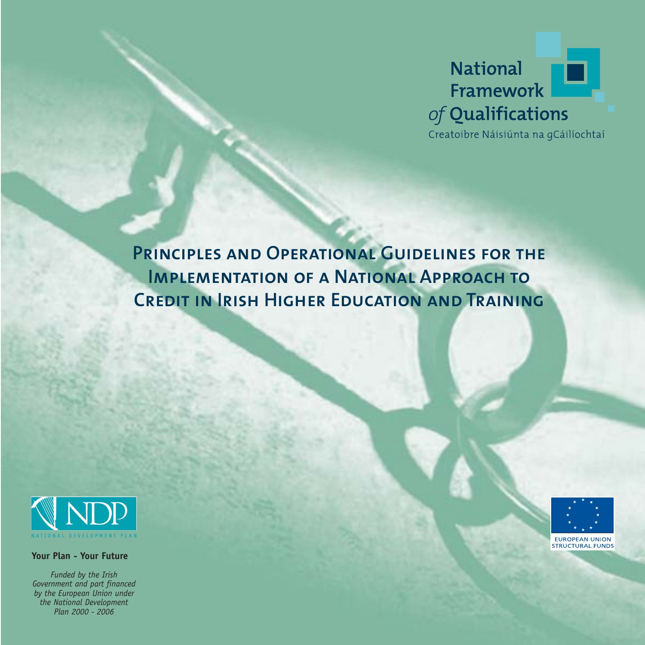

**Principles and Operational Guidelines for the IMPLEMENTATION OF A NATIONAL APPROACH TO Credit in Irish Higher Education and Training** 



**Your Plan - Your Future**

*Funded by the Irish Government and part financed by the European Union under the National Development Plan 2000 - 2006*

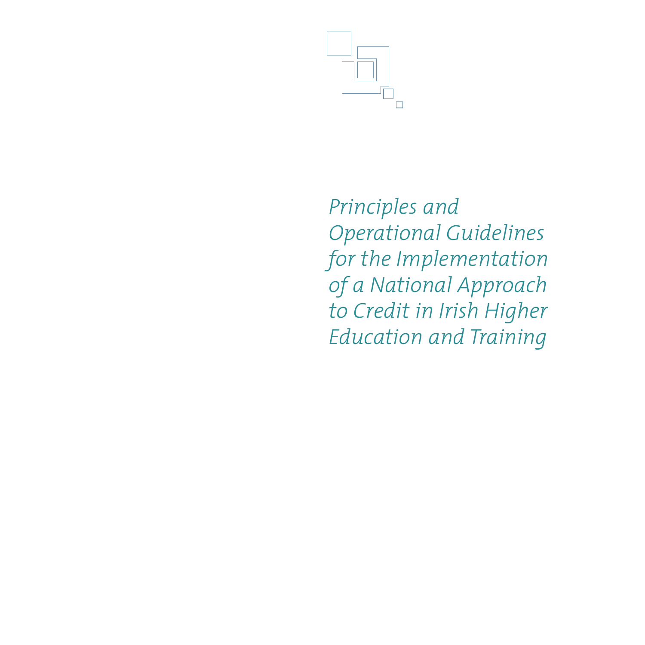

*Principles and Operational Guidelines for the Implementation of a National Approach to Credit in Irish Higher Education and Training*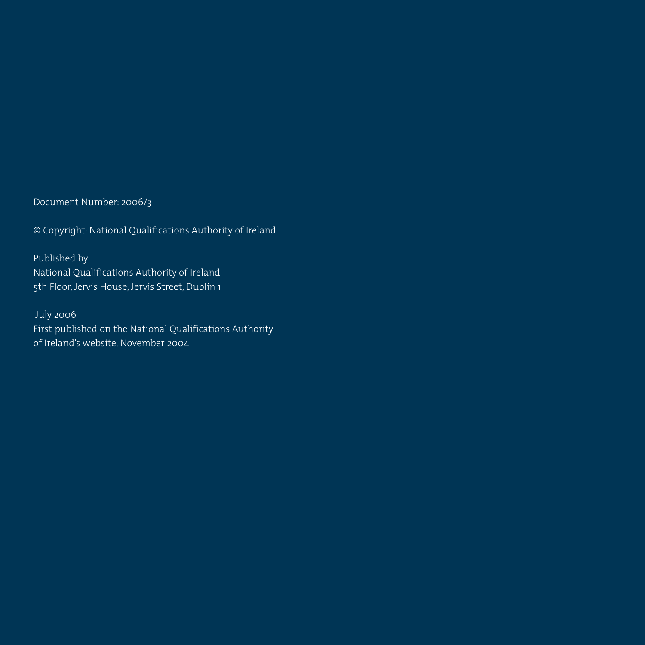Document Number: 2006/3

© Copyright: National Qualifications Authority of Ireland

Published by: National Qualifications Authority of Ireland 5th Floor, Jervis House, Jervis Street, Dublin 1

July 2006 First published on the National Qualifications Authority of Ireland's website, November 2004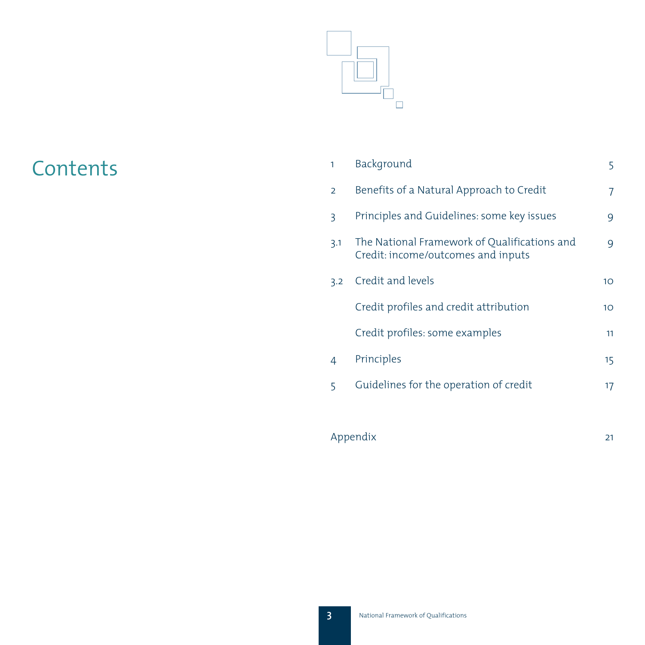

# **Contents**

| 1              | Background                                                                         | 5                |
|----------------|------------------------------------------------------------------------------------|------------------|
| $\overline{2}$ | Benefits of a Natural Approach to Credit                                           | 7                |
| 3              | Principles and Guidelines: some key issues                                         | 9                |
| 3.1            | The National Framework of Qualifications and<br>Credit: income/outcomes and inputs | 9                |
| 3.2            | Credit and levels                                                                  | 10 <sup>°</sup>  |
|                | Credit profiles and credit attribution                                             | 10 <sup>°</sup>  |
|                | Credit profiles: some examples                                                     | 11               |
| 4              | Principles                                                                         | 15 <sub>15</sub> |
| 5              | Guidelines for the operation of credit                                             | 17               |
|                |                                                                                    |                  |

| Appendix |  |
|----------|--|
|          |  |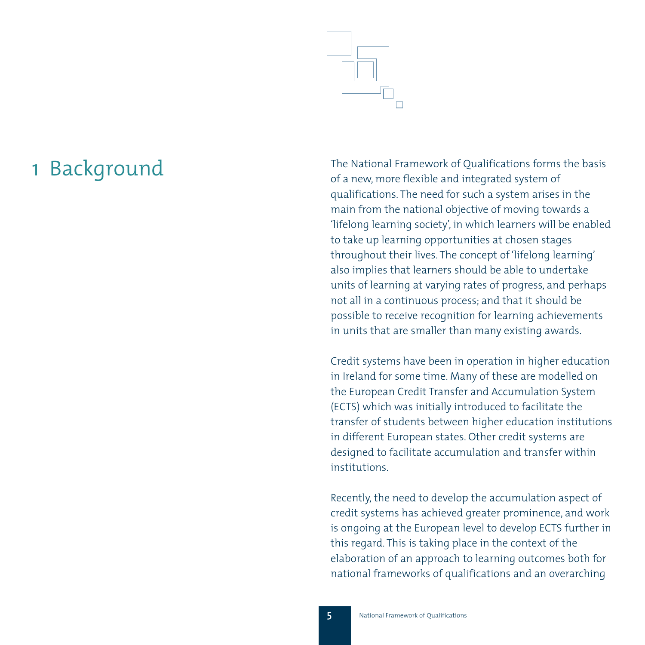

1 Background The National Framework of Qualifications forms the basis of a new, more flexible and integrated system of qualifications. The need for such a system arises in the main from the national objective of moving towards a 'lifelong learning society', in which learners will be enabled to take up learning opportunities at chosen stages throughout their lives. The concept of 'lifelong learning' also implies that learners should be able to undertake units of learning at varying rates of progress, and perhaps not all in a continuous process; and that it should be possible to receive recognition for learning achievements in units that are smaller than many existing awards.

> Credit systems have been in operation in higher education in Ireland for some time. Many of these are modelled on the European Credit Transfer and Accumulation System (ECTS) which was initially introduced to facilitate the transfer of students between higher education institutions in different European states. Other credit systems are designed to facilitate accumulation and transfer within institutions.

> Recently, the need to develop the accumulation aspect of credit systems has achieved greater prominence, and work is ongoing at the European level to develop ECTS further in this regard. This is taking place in the context of the elaboration of an approach to learning outcomes both for national frameworks of qualifications and an overarching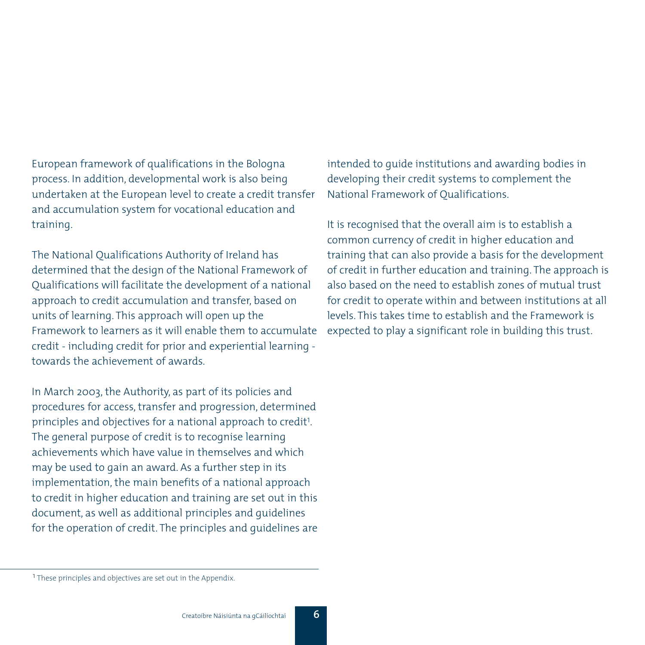European framework of qualifications in the Bologna process. In addition, developmental work is also being undertaken at the European level to create a credit transfer and accumulation system for vocational education and training.

The National Qualifications Authority of Ireland has determined that the design of the National Framework of Qualifications will facilitate the development of a national approach to credit accumulation and transfer, based on units of learning. This approach will open up the Framework to learners as it will enable them to accumulate credit - including credit for prior and experiential learning towards the achievement of awards.

In March 2003, the Authority, as part of its policies and procedures for access, transfer and progression, determined principles and objectives for a national approach to credit<sup>1</sup>. The general purpose of credit is to recognise learning achievements which have value in themselves and which may be used to gain an award. As a further step in its implementation, the main benefits of a national approach to credit in higher education and training are set out in this document, as well as additional principles and guidelines for the operation of credit. The principles and guidelines are

intended to guide institutions and awarding bodies in developing their credit systems to complement the National Framework of Qualifications.

It is recognised that the overall aim is to establish a common currency of credit in higher education and training that can also provide a basis for the development of credit in further education and training. The approach is also based on the need to establish zones of mutual trust for credit to operate within and between institutions at all levels. This takes time to establish and the Framework is expected to play a significant role in building this trust.

<sup>&</sup>lt;sup>1</sup> These principles and objectives are set out in the Appendix.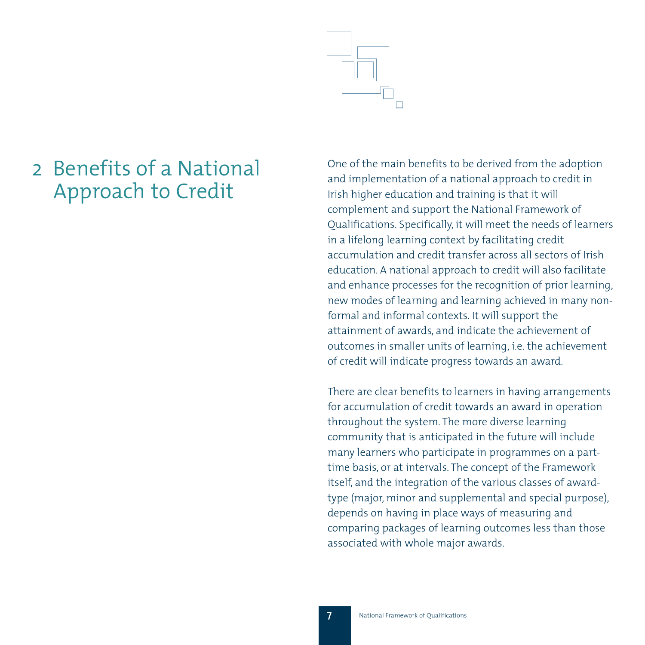

# 2 Benefits of a National Approach to Credit

One of the main benefits to be derived from the adoption and implementation of a national approach to credit in Irish higher education and training is that it will complement and support the National Framework of Qualifications. Specifically, it will meet the needs of learners in a lifelong learning context by facilitating credit accumulation and credit transfer across all sectors of Irish education. A national approach to credit will also facilitate and enhance processes for the recognition of prior learning, new modes of learning and learning achieved in many nonformal and informal contexts. It will support the attainment of awards, and indicate the achievement of outcomes in smaller units of learning, i.e. the achievement of credit will indicate progress towards an award.

There are clear benefits to learners in having arrangements for accumulation of credit towards an award in operation throughout the system. The more diverse learning community that is anticipated in the future will include many learners who participate in programmes on a parttime basis, or at intervals. The concept of the Framework itself, and the integration of the various classes of awardtype (major, minor and supplemental and special purpose), depends on having in place ways of measuring and comparing packages of learning outcomes less than those associated with whole major awards.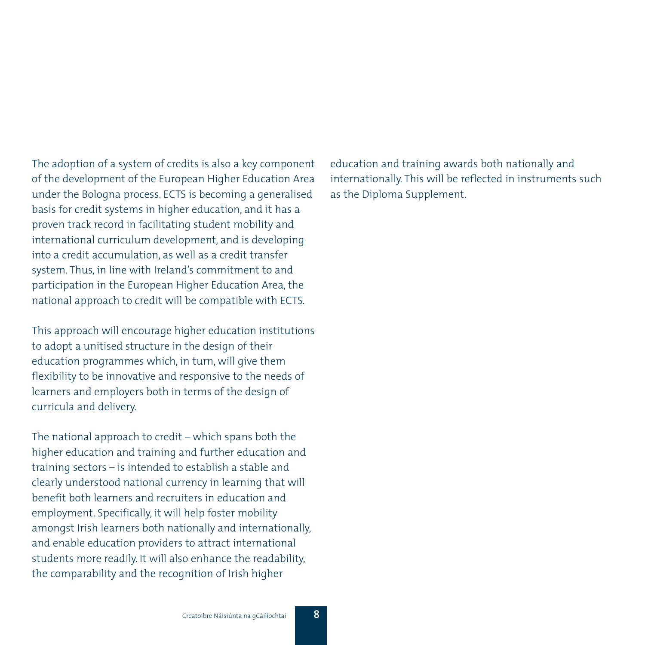The adoption of a system of credits is also a key component of the development of the European Higher Education Area under the Bologna process. ECTS is becoming a generalised basis for credit systems in higher education, and it has a proven track record in facilitating student mobility and international curriculum development, and is developing into a credit accumulation, as well as a credit transfer system. Thus, in line with Ireland's commitment to and participation in the European Higher Education Area, the national approach to credit will be compatible with ECTS.

This approach will encourage higher education institutions to adopt a unitised structure in the design of their education programmes which, in turn, will give them flexibility to be innovative and responsive to the needs of learners and employers both in terms of the design of curricula and delivery.

The national approach to credit – which spans both the higher education and training and further education and training sectors – is intended to establish a stable and clearly understood national currency in learning that will benefit both learners and recruiters in education and employment. Specifically, it will help foster mobility amongst Irish learners both nationally and internationally, and enable education providers to attract international students more readily. It will also enhance the readability, the comparability and the recognition of Irish higher

education and training awards both nationally and internationally. This will be reflected in instruments such as the Diploma Supplement.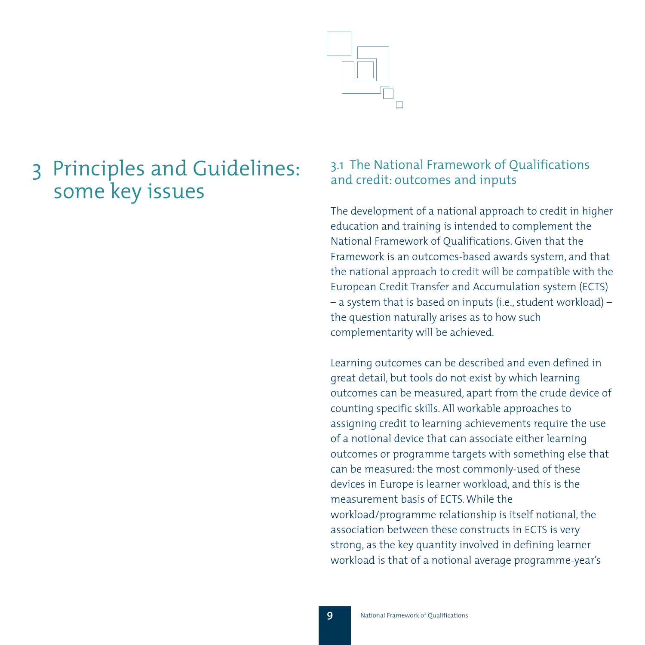

# 3 Principles and Guidelines: some key issues

# 3.1 The National Framework of Qualifications and credit: outcomes and inputs

The development of a national approach to credit in higher education and training is intended to complement the National Framework of Qualifications. Given that the Framework is an outcomes-based awards system, and that the national approach to credit will be compatible with the European Credit Transfer and Accumulation system (ECTS) – a system that is based on inputs (i.e., student workload) – the question naturally arises as to how such complementarity will be achieved.

Learning outcomes can be described and even defined in great detail, but tools do not exist by which learning outcomes can be measured, apart from the crude device of counting specific skills. All workable approaches to assigning credit to learning achievements require the use of a notional device that can associate either learning outcomes or programme targets with something else that can be measured: the most commonly-used of these devices in Europe is learner workload, and this is the measurement basis of ECTS. While the workload/programme relationship is itself notional, the association between these constructs in ECTS is very strong, as the key quantity involved in defining learner workload is that of a notional average programme-year's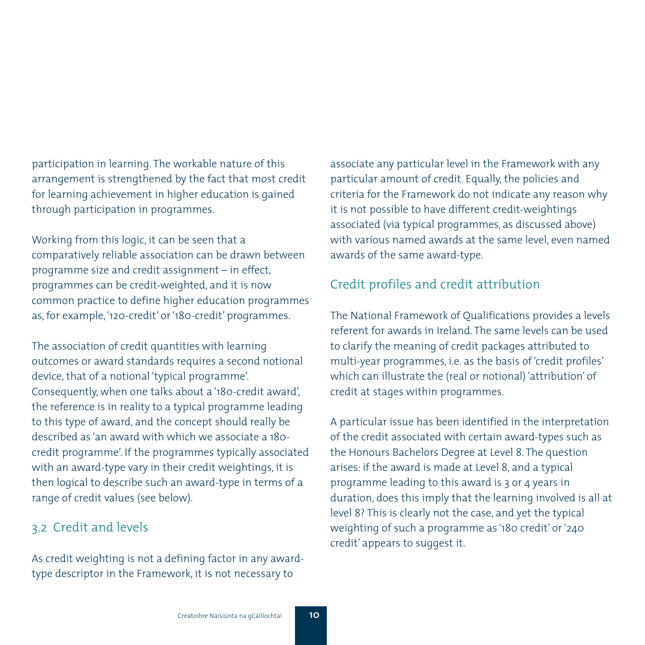participation in learning. The workable nature of this arrangement is strengthened by the fact that most credit for learning achievement in higher education is gained through participation in programmes.

Working from this logic, it can be seen that a comparatively reliable association can be drawn between programme size and credit assignment – in effect, programmes can be credit-weighted, and it is now common practice to define higher education programmes as, for example, '120-credit' or '180-credit' programmes.

The association of credit quantities with learning outcomes or award standards requires a second notional device, that of a notional 'typical programme'. Consequently, when one talks about a '180-credit award', the reference is in reality to a typical programme leading to this type of award, and the concept should really be described as 'an award with which we associate a 180 credit programme'. If the programmes typically associated with an award-type vary in their credit weightings, it is then logical to describe such an award-type in terms of a range of credit values (see below).

## 3.2 Credit and levels

As credit weighting is not a defining factor in any awardtype descriptor in the Framework, it is not necessary to

associate any particular level in the Framework with any particular amount of credit. Equally, the policies and criteria for the Framework do not indicate any reason why it is not possible to have different credit-weightings associated (via typical programmes, as discussed above) with various named awards at the same level, even named awards of the same award-type.

# Credit profiles and credit attribution

The National Framework of Qualifications provides a levels referent for awards in Ireland. The same levels can be used to clarify the meaning of credit packages attributed to multi-year programmes, i.e. as the basis of 'credit profiles' which can illustrate the (real or notional) 'attribution' of credit at stages within programmes.

A particular issue has been identified in the interpretation of the credit associated with certain award-types such as the Honours Bachelors Degree at Level 8. The question arises: if the award is made at Level 8, and a typical programme leading to this award is 3 or 4 years in duration, does this imply that the learning involved is all at level 8? This is clearly not the case, and yet the typical weighting of such a programme as '180 credit' or '240 credit' appears to suggest it.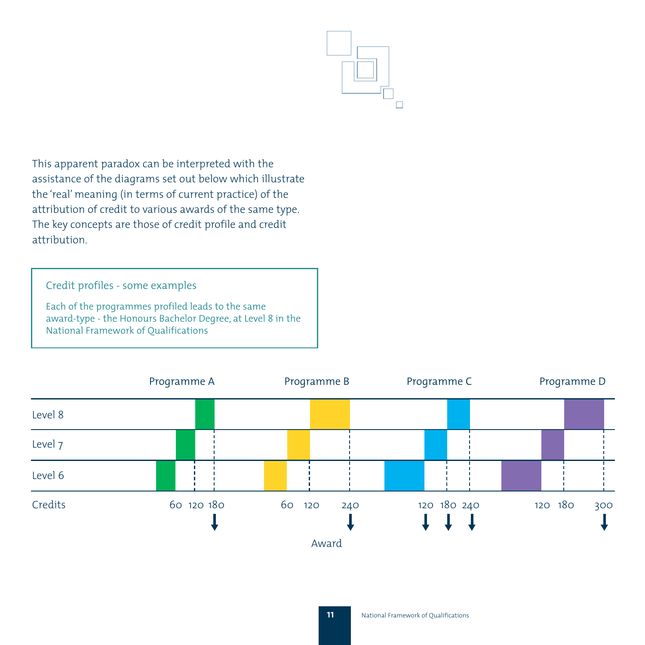

This apparent paradox can be interpreted with the assistance of the diagrams set out below which illustrate the 'real' meaning (in terms of current practice) of the attribution of credit to various awards of the same type. The key concepts are those of credit profile and credit attribution.

## Credit profiles - some examples

Each of the programmes profiled leads to the same award-type - the Honours Bachelor Degree, at Level 8 in the National Framework of Qualifications

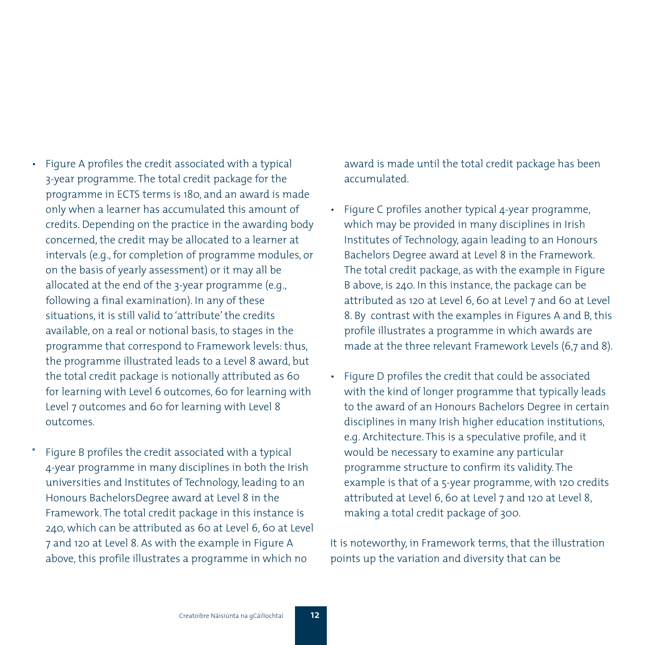- Figure A profiles the credit associated with a typical 3-year programme. The total credit package for the programme in ECTS terms is 180, and an award is made only when a learner has accumulated this amount of credits. Depending on the practice in the awarding body concerned, the credit may be allocated to a learner at intervals (e.g., for completion of programme modules, or on the basis of yearly assessment) or it may all be allocated at the end of the 3-year programme (e.g., following a final examination). In any of these situations, it is still valid to 'attribute' the credits available, on a real or notional basis, to stages in the programme that correspond to Framework levels: thus, the programme illustrated leads to a Level 8 award, but the total credit package is notionally attributed as 60 for learning with Level 6 outcomes, 60 for learning with Level 7 outcomes and 60 for learning with Level 8 outcomes.
- Figure B profiles the credit associated with a typical 4-year programme in many disciplines in both the Irish universities and Institutes of Technology, leading to an Honours BachelorsDegree award at Level 8 in the Framework. The total credit package in this instance is 240, which can be attributed as 60 at Level 6, 60 at Level 7 and 120 at Level 8. As with the example in Figure A above, this profile illustrates a programme in which no

award is made until the total credit package has been accumulated.

- Figure C profiles another typical 4-year programme, which may be provided in many disciplines in Irish Institutes of Technology, again leading to an Honours Bachelors Degree award at Level 8 in the Framework. The total credit package, as with the example in Figure B above, is 240. In this instance, the package can be attributed as 120 at Level 6, 60 at Level 7 and 60 at Level 8. By contrast with the examples in Figures A and B, this profile illustrates a programme in which awards are made at the three relevant Framework Levels (6,7 and 8).
- Figure D profiles the credit that could be associated with the kind of longer programme that typically leads to the award of an Honours Bachelors Degree in certain disciplines in many Irish higher education institutions, e.g. Architecture. This is a speculative profile, and it would be necessary to examine any particular programme structure to confirm its validity. The example is that of a 5-year programme, with 120 credits attributed at Level 6, 60 at Level 7 and 120 at Level 8, making a total credit package of 300.

It is noteworthy, in Framework terms, that the illustration points up the variation and diversity that can be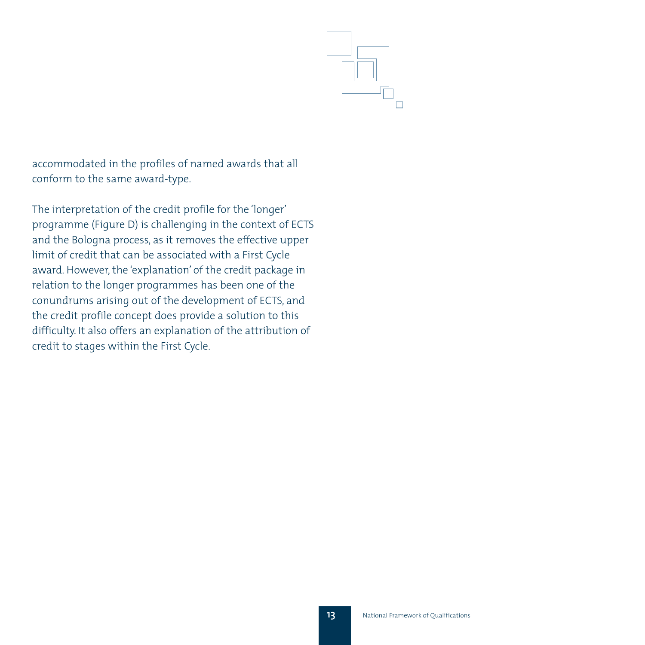

accommodated in the profiles of named awards that all conform to the same award-type.

The interpretation of the credit profile for the 'longer' programme (Figure D) is challenging in the context of ECTS and the Bologna process, as it removes the effective upper limit of credit that can be associated with a First Cycle award. However, the 'explanation' of the credit package in relation to the longer programmes has been one of the conundrums arising out of the development of ECTS, and the credit profile concept does provide a solution to this difficulty. It also offers an explanation of the attribution of credit to stages within the First Cycle.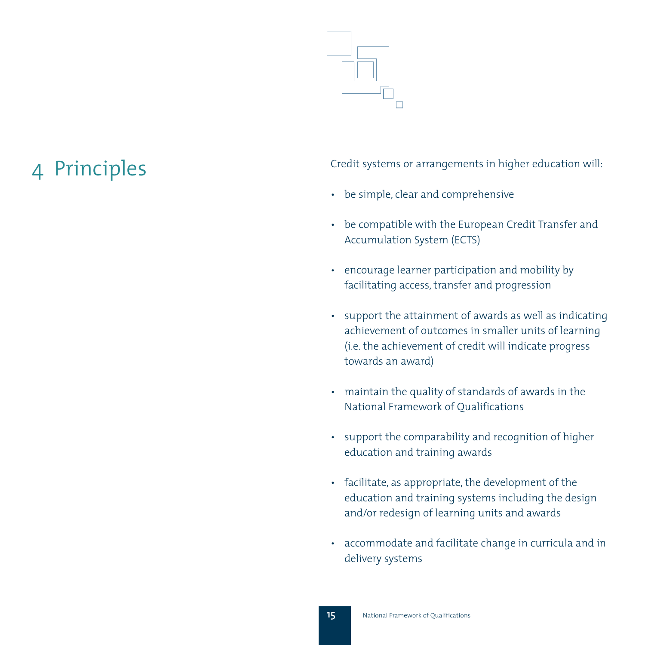

4 Principles Credit systems or arrangements in higher education will:

- be simple, clear and comprehensive
- be compatible with the European Credit Transfer and Accumulation System (ECTS)
- encourage learner participation and mobility by facilitating access, transfer and progression
- support the attainment of awards as well as indicating achievement of outcomes in smaller units of learning (i.e. the achievement of credit will indicate progress towards an award)
- maintain the quality of standards of awards in the National Framework of Qualifications
- support the comparability and recognition of higher education and training awards
- facilitate, as appropriate, the development of the education and training systems including the design and/or redesign of learning units and awards
- accommodate and facilitate change in curricula and in delivery systems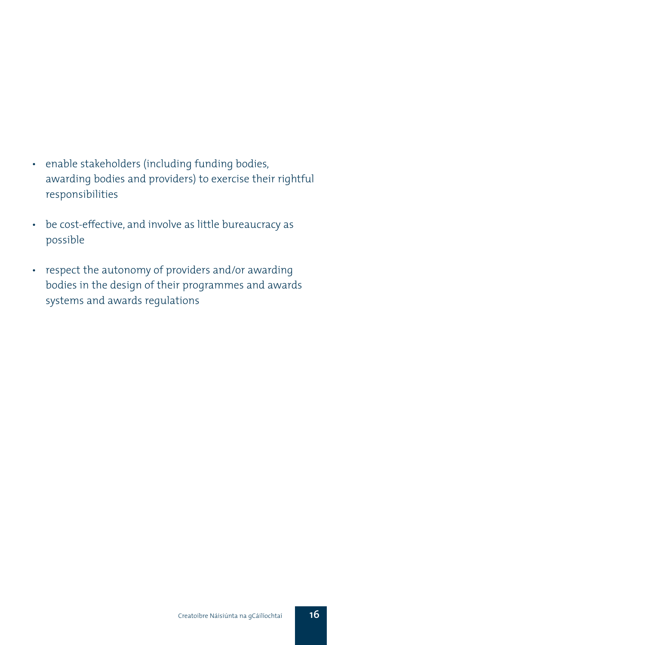## • enable stakeholders (including funding bodies, awarding bodies and providers) to exercise their rightful responsibilities

- be cost-effective, and involve as little bureaucracy as possible
- respect the autonomy of providers and/or awarding bodies in the design of their programmes and awards systems and awards regulations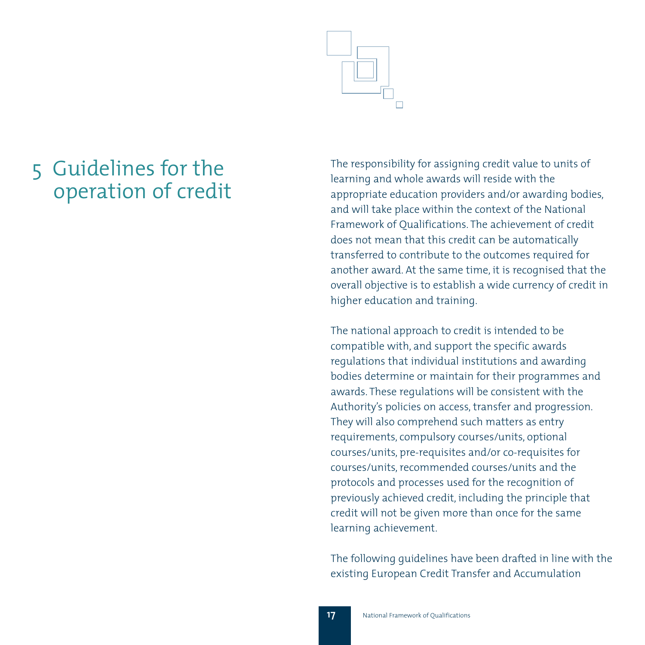# 5 Guidelines for the operation of credit

The responsibility for assigning credit value to units of learning and whole awards will reside with the appropriate education providers and/or awarding bodies, and will take place within the context of the National Framework of Qualifications. The achievement of credit does not mean that this credit can be automatically transferred to contribute to the outcomes required for another award. At the same time, it is recognised that the overall objective is to establish a wide currency of credit in higher education and training.

The national approach to credit is intended to be compatible with, and support the specific awards regulations that individual institutions and awarding bodies determine or maintain for their programmes and awards. These regulations will be consistent with the Authority's policies on access, transfer and progression. They will also comprehend such matters as entry requirements, compulsory courses/units, optional courses/units, pre-requisites and/or co-requisites for courses/units, recommended courses/units and the protocols and processes used for the recognition of previously achieved credit, including the principle that credit will not be given more than once for the same learning achievement.

The following guidelines have been drafted in line with the existing European Credit Transfer and Accumulation

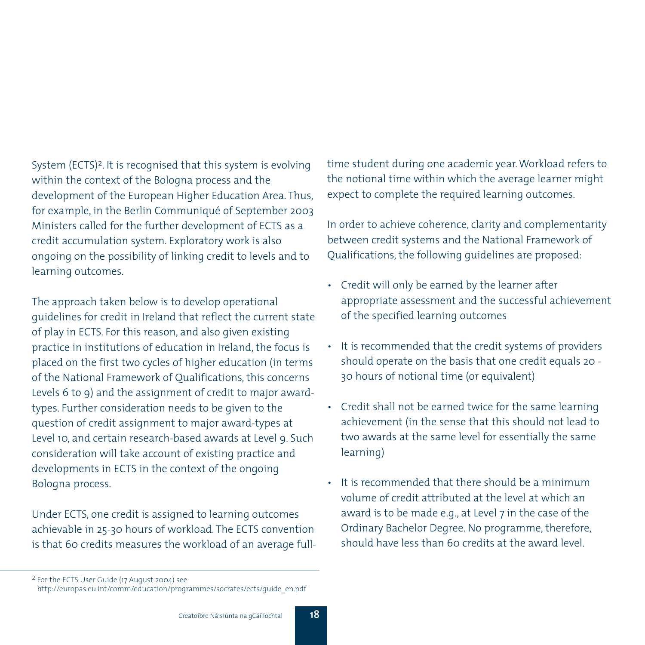System (ECTS)<sup>2</sup>. It is recognised that this system is evolving within the context of the Bologna process and the development of the European Higher Education Area. Thus, for example, in the Berlin Communiqué of September 2003 Ministers called for the further development of ECTS as a credit accumulation system. Exploratory work is also ongoing on the possibility of linking credit to levels and to learning outcomes.

The approach taken below is to develop operational guidelines for credit in Ireland that reflect the current state of play in ECTS. For this reason, and also given existing practice in institutions of education in Ireland, the focus is placed on the first two cycles of higher education (in terms of the National Framework of Qualifications, this concerns Levels 6 to 9) and the assignment of credit to major awardtypes. Further consideration needs to be given to the question of credit assignment to major award-types at Level 10, and certain research-based awards at Level 9. Such consideration will take account of existing practice and developments in ECTS in the context of the ongoing Bologna process.

Under ECTS, one credit is assigned to learning outcomes achievable in 25-30 hours of workload. The ECTS convention is that 60 credits measures the workload of an average fulltime student during one academic year. Workload refers to the notional time within which the average learner might expect to complete the required learning outcomes.

In order to achieve coherence, clarity and complementarity between credit systems and the National Framework of Qualifications, the following guidelines are proposed:

- Credit will only be earned by the learner after appropriate assessment and the successful achievement of the specified learning outcomes
- It is recommended that the credit systems of providers should operate on the basis that one credit equals 20 - 30 hours of notional time (or equivalent)
- Credit shall not be earned twice for the same learning achievement (in the sense that this should not lead to two awards at the same level for essentially the same learning)
- It is recommended that there should be a minimum volume of credit attributed at the level at which an award is to be made e.g., at Level 7 in the case of the Ordinary Bachelor Degree. No programme, therefore, should have less than 60 credits at the award level.

<sup>2</sup> For the ECTS User Guide (17 August 2004) see

http://europas.eu.int/comm/education/programmes/socrates/ects/guide\_en.pdf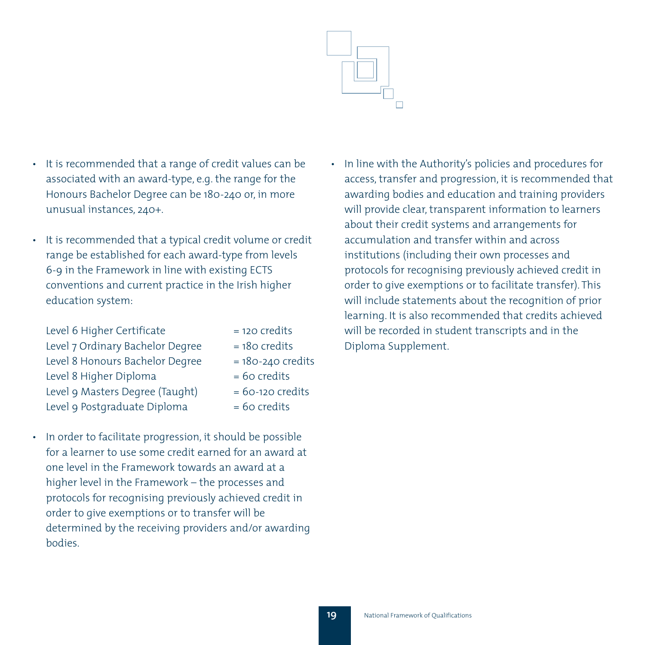

- It is recommended that a range of credit values can be associated with an award-type, e.g. the range for the Honours Bachelor Degree can be 180-240 or, in more unusual instances, 240+.
- It is recommended that a typical credit volume or credit range be established for each award-type from levels 6-9 in the Framework in line with existing ECTS conventions and current practice in the Irish higher education system:

| Level 6 Higher Certificate       | = 120 credits         |
|----------------------------------|-----------------------|
| Level 7 Ordinary Bachelor Degree | $= 180$ credits       |
| Level 8 Honours Bachelor Degree  | $= 180 - 240$ credits |
| Level 8 Higher Diploma           | $= 60$ credits        |
| Level 9 Masters Degree (Taught)  | $= 60 - 120$ credits  |
| Level 9 Postgraduate Diploma     | $= 60$ credits        |

• In order to facilitate progression, it should be possible for a learner to use some credit earned for an award at one level in the Framework towards an award at a higher level in the Framework – the processes and protocols for recognising previously achieved credit in order to give exemptions or to transfer will be determined by the receiving providers and/or awarding bodies.

• In line with the Authority's policies and procedures for access, transfer and progression, it is recommended that awarding bodies and education and training providers will provide clear, transparent information to learners about their credit systems and arrangements for accumulation and transfer within and across institutions (including their own processes and protocols for recognising previously achieved credit in order to give exemptions or to facilitate transfer). This will include statements about the recognition of prior learning. It is also recommended that credits achieved will be recorded in student transcripts and in the Diploma Supplement.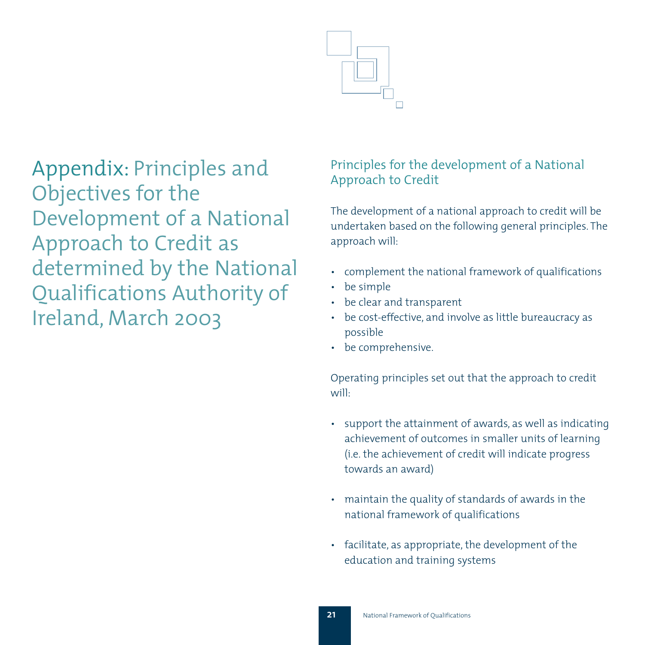

Appendix: Principles and Objectives for the Development of a National Approach to Credit as determined by the National Qualifications Authority of Ireland, March 2003

# Principles for the development of a National Approach to Credit

The development of a national approach to credit will be undertaken based on the following general principles. The approach will:

- complement the national framework of qualifications
- be simple
- be clear and transparent
- be cost-effective, and involve as little bureaucracy as possible
- be comprehensive.

Operating principles set out that the approach to credit will:

- support the attainment of awards, as well as indicating achievement of outcomes in smaller units of learning (i.e. the achievement of credit will indicate progress towards an award)
- maintain the quality of standards of awards in the national framework of qualifications
- facilitate, as appropriate, the development of the education and training systems